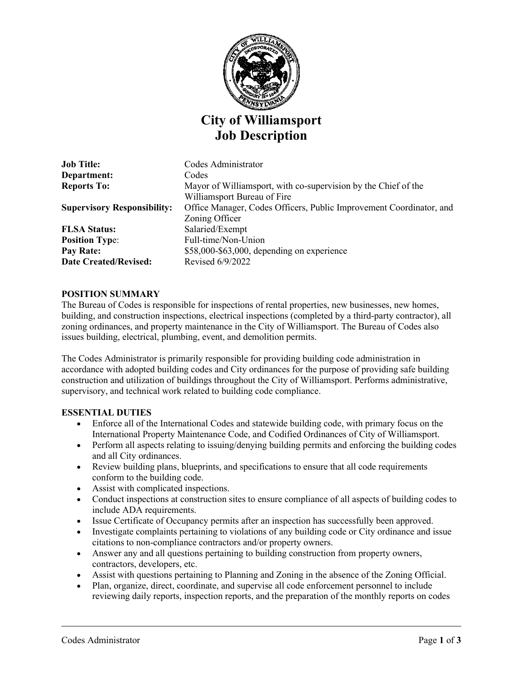

# **City of Williamsport Job Description**

**Job Title:** Codes Administrator **Department:** Codes **Reports To:** Mayor of Williamsport, with co-supervision by the Chief of the Williamsport Bureau of Fire **Supervisory Responsibility:** Office Manager, Codes Officers, Public Improvement Coordinator, and Zoning Officer **FLSA Status:** Salaried/Exempt **Position Type:** Full-time/Non-Union **Pay Rate:**  $$58,000-$63,000, depending on experience$ **Date Created/Revised:** Revised 6/9/2022

#### **POSITION SUMMARY**

The Bureau of Codes is responsible for inspections of rental properties, new businesses, new homes, building, and construction inspections, electrical inspections (completed by a third-party contractor), all zoning ordinances, and property maintenance in the City of Williamsport. The Bureau of Codes also issues building, electrical, plumbing, event, and demolition permits.

The Codes Administrator is primarily responsible for providing building code administration in accordance with adopted building codes and City ordinances for the purpose of providing safe building construction and utilization of buildings throughout the City of Williamsport. Performs administrative, supervisory, and technical work related to building code compliance.

#### **ESSENTIAL DUTIES**

- Enforce all of the International Codes and statewide building code, with primary focus on the International Property Maintenance Code, and Codified Ordinances of City of Williamsport.
- Perform all aspects relating to issuing/denying building permits and enforcing the building codes and all City ordinances.
- Review building plans, blueprints, and specifications to ensure that all code requirements conform to the building code.
- Assist with complicated inspections.
- Conduct inspections at construction sites to ensure compliance of all aspects of building codes to include ADA requirements.
- Issue Certificate of Occupancy permits after an inspection has successfully been approved.
- Investigate complaints pertaining to violations of any building code or City ordinance and issue citations to non-compliance contractors and/or property owners.
- Answer any and all questions pertaining to building construction from property owners, contractors, developers, etc.
- Assist with questions pertaining to Planning and Zoning in the absence of the Zoning Official.
- Plan, organize, direct, coordinate, and supervise all code enforcement personnel to include reviewing daily reports, inspection reports, and the preparation of the monthly reports on codes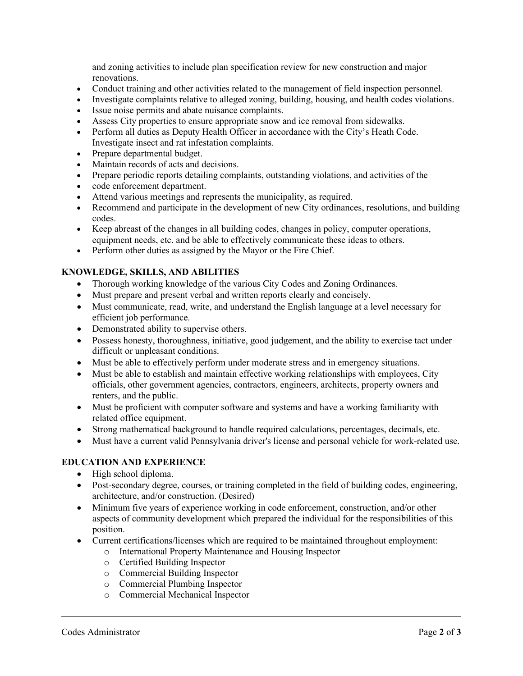and zoning activities to include plan specification review for new construction and major renovations.

- Conduct training and other activities related to the management of field inspection personnel.
- Investigate complaints relative to alleged zoning, building, housing, and health codes violations.
- Issue noise permits and abate nuisance complaints.
- Assess City properties to ensure appropriate snow and ice removal from sidewalks.
- Perform all duties as Deputy Health Officer in accordance with the City's Heath Code. Investigate insect and rat infestation complaints.
- Prepare departmental budget.
- Maintain records of acts and decisions.
- Prepare periodic reports detailing complaints, outstanding violations, and activities of the
- code enforcement department.
- Attend various meetings and represents the municipality, as required.
- Recommend and participate in the development of new City ordinances, resolutions, and building codes.
- Keep abreast of the changes in all building codes, changes in policy, computer operations, equipment needs, etc. and be able to effectively communicate these ideas to others.
- Perform other duties as assigned by the Mayor or the Fire Chief.

## **KNOWLEDGE, SKILLS, AND ABILITIES**

- Thorough working knowledge of the various City Codes and Zoning Ordinances.
- Must prepare and present verbal and written reports clearly and concisely.
- Must communicate, read, write, and understand the English language at a level necessary for efficient job performance.
- Demonstrated ability to supervise others.
- Possess honesty, thoroughness, initiative, good judgement, and the ability to exercise tact under difficult or unpleasant conditions.
- Must be able to effectively perform under moderate stress and in emergency situations.
- Must be able to establish and maintain effective working relationships with employees, City officials, other government agencies, contractors, engineers, architects, property owners and renters, and the public.
- Must be proficient with computer software and systems and have a working familiarity with related office equipment.
- Strong mathematical background to handle required calculations, percentages, decimals, etc.
- Must have a current valid Pennsylvania driver's license and personal vehicle for work-related use.

#### **EDUCATION AND EXPERIENCE**

- High school diploma.
- Post-secondary degree, courses, or training completed in the field of building codes, engineering, architecture, and/or construction. (Desired)
- Minimum five years of experience working in code enforcement, construction, and/or other aspects of community development which prepared the individual for the responsibilities of this position.
- Current certifications/licenses which are required to be maintained throughout employment:
	- o International Property Maintenance and Housing Inspector
	- o Certified Building Inspector
	- o Commercial Building Inspector
	- o Commercial Plumbing Inspector
	- o Commercial Mechanical Inspector